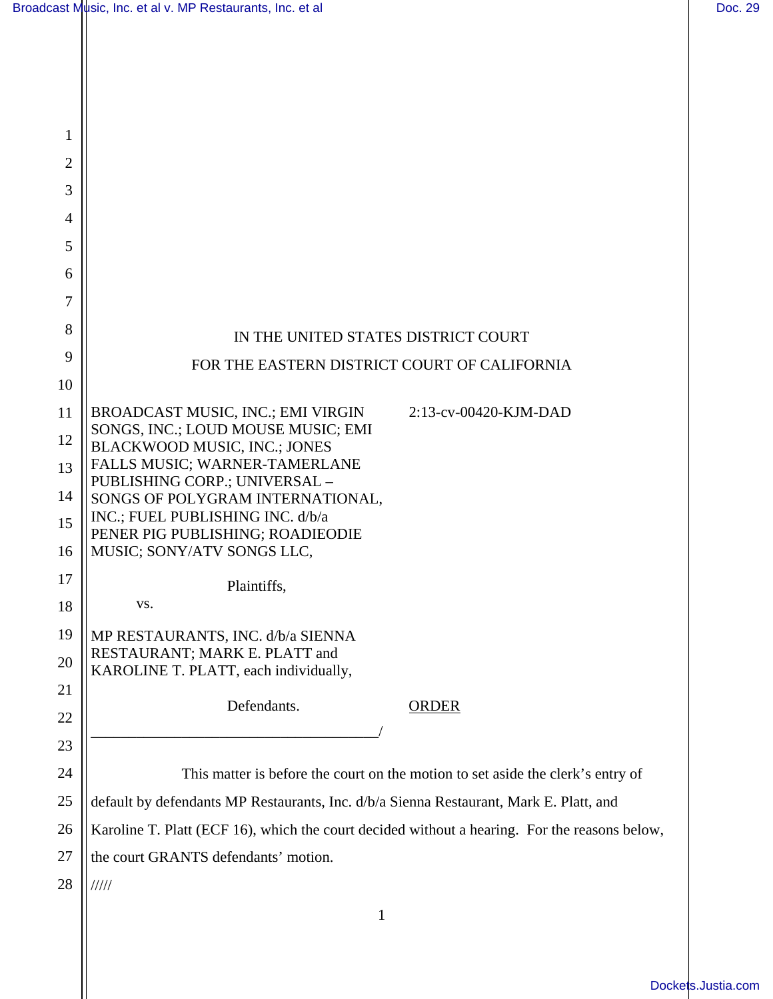| 1                   |                                                                                               |
|---------------------|-----------------------------------------------------------------------------------------------|
| $\overline{2}$      |                                                                                               |
| 3                   |                                                                                               |
| 4                   |                                                                                               |
| 5                   |                                                                                               |
| 6<br>$\overline{7}$ |                                                                                               |
| 8                   |                                                                                               |
| 9                   | IN THE UNITED STATES DISTRICT COURT                                                           |
| 10                  | FOR THE EASTERN DISTRICT COURT OF CALIFORNIA                                                  |
| 11                  | BROADCAST MUSIC, INC.; EMI VIRGIN<br>2:13-cv-00420-KJM-DAD                                    |
| 12                  | SONGS, INC.; LOUD MOUSE MUSIC; EMI                                                            |
| 13                  | <b>BLACKWOOD MUSIC, INC.; JONES</b><br>FALLS MUSIC; WARNER-TAMERLANE                          |
| 14                  | PUBLISHING CORP.; UNIVERSAL -<br>SONGS OF POLYGRAM INTERNATIONAL,                             |
| 15                  | INC.; FUEL PUBLISHING INC. d/b/a                                                              |
| 16                  | PENER PIG PUBLISHING; ROADIEODIE<br>MUSIC; SONY/ATV SONGS LLC,                                |
| 17                  | Plaintiffs,                                                                                   |
| 18                  | VS.                                                                                           |
| 19                  | MP RESTAURANTS, INC. d/b/a SIENNA                                                             |
| 20                  | RESTAURANT; MARK E. PLATT and<br>KAROLINE T. PLATT, each individually,                        |
| 21                  | Defendants.<br>ORDER                                                                          |
| 22                  |                                                                                               |
| 23                  |                                                                                               |
| 24                  | This matter is before the court on the motion to set aside the clerk's entry of               |
| 25                  | default by defendants MP Restaurants, Inc. d/b/a Sienna Restaurant, Mark E. Platt, and        |
| 26                  | Karoline T. Platt (ECF 16), which the court decided without a hearing. For the reasons below, |
| 27                  | the court GRANTS defendants' motion.                                                          |
| 28                  | 11111                                                                                         |
|                     | 1                                                                                             |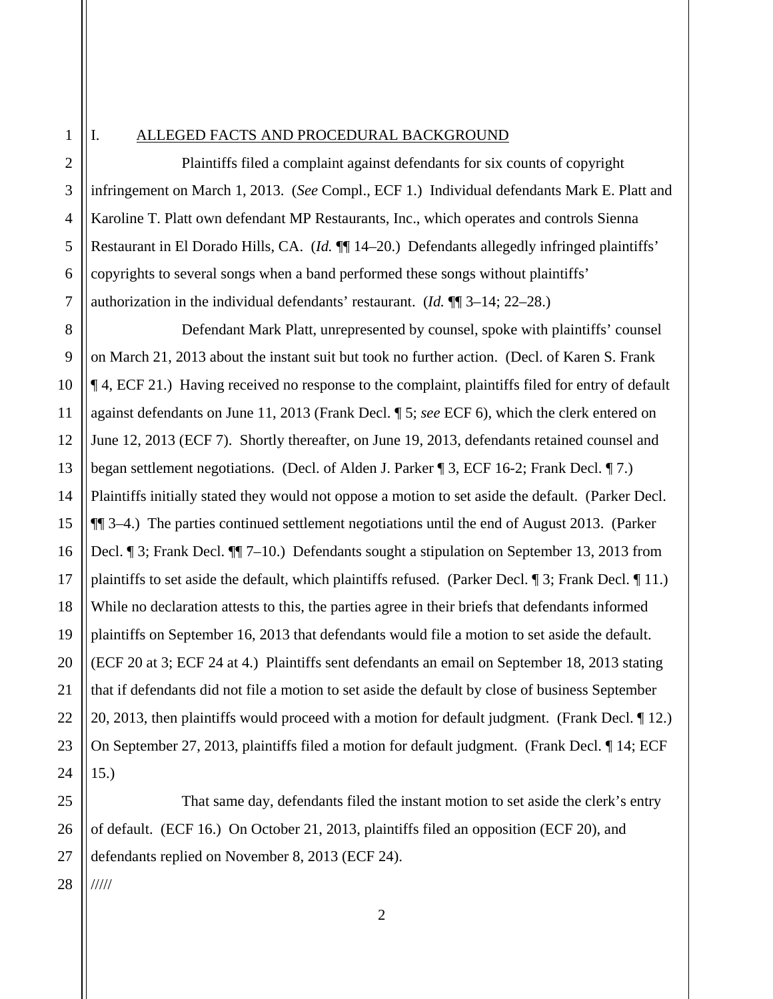1

2

3

4

5

6

7

## I. ALLEGED FACTS AND PROCEDURAL BACKGROUND

 Plaintiffs filed a complaint against defendants for six counts of copyright infringement on March 1, 2013. (*See* Compl., ECF 1.) Individual defendants Mark E. Platt and Karoline T. Platt own defendant MP Restaurants, Inc., which operates and controls Sienna Restaurant in El Dorado Hills, CA. (*Id.* ¶¶ 14–20.) Defendants allegedly infringed plaintiffs' copyrights to several songs when a band performed these songs without plaintiffs' authorization in the individual defendants' restaurant. (*Id.* ¶¶ 3–14; 22–28.)

8 9 10 11 12 13 14 15 16 17 18 19 20 21 22 23 24 Defendant Mark Platt, unrepresented by counsel, spoke with plaintiffs' counsel on March 21, 2013 about the instant suit but took no further action. (Decl. of Karen S. Frank ¶ 4, ECF 21.) Having received no response to the complaint, plaintiffs filed for entry of default against defendants on June 11, 2013 (Frank Decl. ¶ 5; *see* ECF 6), which the clerk entered on June 12, 2013 (ECF 7). Shortly thereafter, on June 19, 2013, defendants retained counsel and began settlement negotiations. (Decl. of Alden J. Parker ¶ 3, ECF 16-2; Frank Decl. ¶ 7.) Plaintiffs initially stated they would not oppose a motion to set aside the default. (Parker Decl. ¶¶ 3–4.) The parties continued settlement negotiations until the end of August 2013. (Parker Decl. ¶ 3; Frank Decl. ¶¶ 7–10.) Defendants sought a stipulation on September 13, 2013 from plaintiffs to set aside the default, which plaintiffs refused. (Parker Decl. ¶ 3; Frank Decl. ¶ 11.) While no declaration attests to this, the parties agree in their briefs that defendants informed plaintiffs on September 16, 2013 that defendants would file a motion to set aside the default. (ECF 20 at 3; ECF 24 at 4.) Plaintiffs sent defendants an email on September 18, 2013 stating that if defendants did not file a motion to set aside the default by close of business September 20, 2013, then plaintiffs would proceed with a motion for default judgment. (Frank Decl. ¶ 12.) On September 27, 2013, plaintiffs filed a motion for default judgment. (Frank Decl. ¶ 14; ECF 15.)

25 26 27 That same day, defendants filed the instant motion to set aside the clerk's entry of default. (ECF 16.) On October 21, 2013, plaintiffs filed an opposition (ECF 20), and defendants replied on November 8, 2013 (ECF 24).

28 /////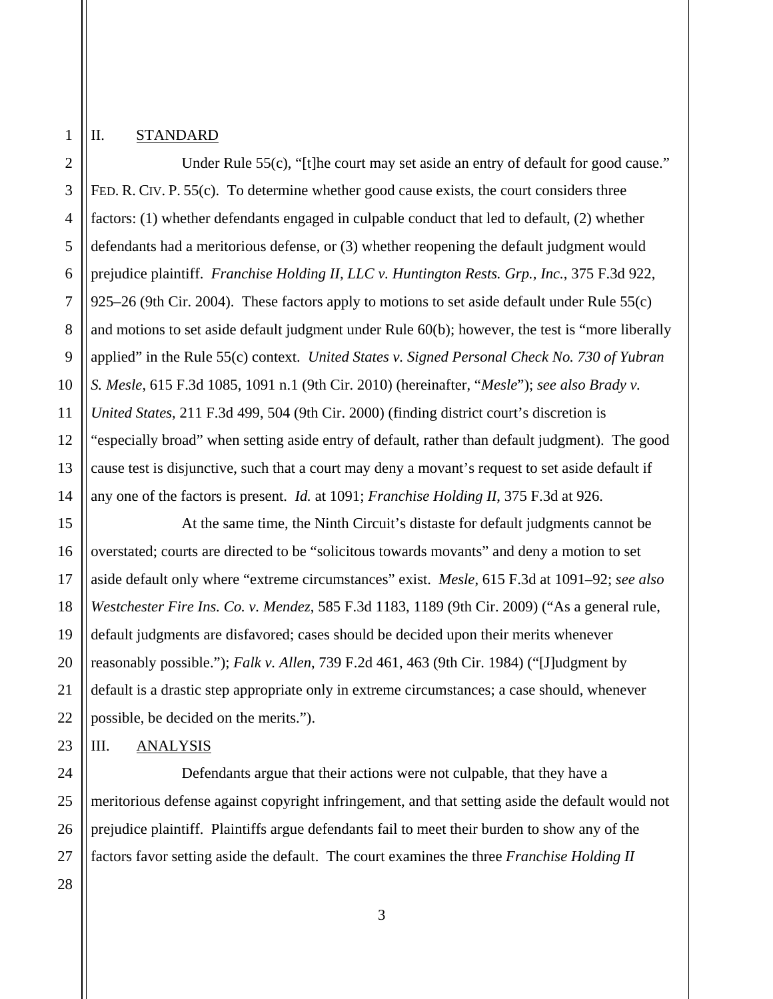## II. STANDARD

1

2

3

4 Under Rule 55(c), "[t]he court may set aside an entry of default for good cause." FED. R. CIV. P. 55(c). To determine whether good cause exists, the court considers three factors: (1) whether defendants engaged in culpable conduct that led to default, (2) whether defendants had a meritorious defense, or (3) whether reopening the default judgment would prejudice plaintiff. *Franchise Holding II, LLC v. Huntington Rests. Grp., Inc.*, 375 F.3d 922, 925–26 (9th Cir. 2004). These factors apply to motions to set aside default under Rule 55(c) and motions to set aside default judgment under Rule 60(b); however, the test is "more liberally applied" in the Rule 55(c) context. *United States v. Signed Personal Check No. 730 of Yubran S. Mesle*, 615 F.3d 1085, 1091 n.1 (9th Cir. 2010) (hereinafter, "*Mesle*"); *see also Brady v. United States,* 211 F.3d 499, 504 (9th Cir. 2000) (finding district court's discretion is "especially broad" when setting aside entry of default, rather than default judgment). The good cause test is disjunctive, such that a court may deny a movant's request to set aside default if any one of the factors is present. *Id.* at 1091; *Franchise Holding II*, 375 F.3d at 926.

 At the same time, the Ninth Circuit's distaste for default judgments cannot be overstated; courts are directed to be "solicitous towards movants" and deny a motion to set aside default only where "extreme circumstances" exist. *Mesle*, 615 F.3d at 1091–92; *see also Westchester Fire Ins. Co. v. Mendez*, 585 F.3d 1183, 1189 (9th Cir. 2009) ("As a general rule, default judgments are disfavored; cases should be decided upon their merits whenever reasonably possible."); *Falk v. Allen*, 739 F.2d 461, 463 (9th Cir. 1984) ("[J]udgment by default is a drastic step appropriate only in extreme circumstances; a case should, whenever possible, be decided on the merits.").

## III. ANALYSIS

 Defendants argue that their actions were not culpable, that they have a meritorious defense against copyright infringement, and that setting aside the default would not prejudice plaintiff. Plaintiffs argue defendants fail to meet their burden to show any of the factors favor setting aside the default. The court examines the three *Franchise Holding II*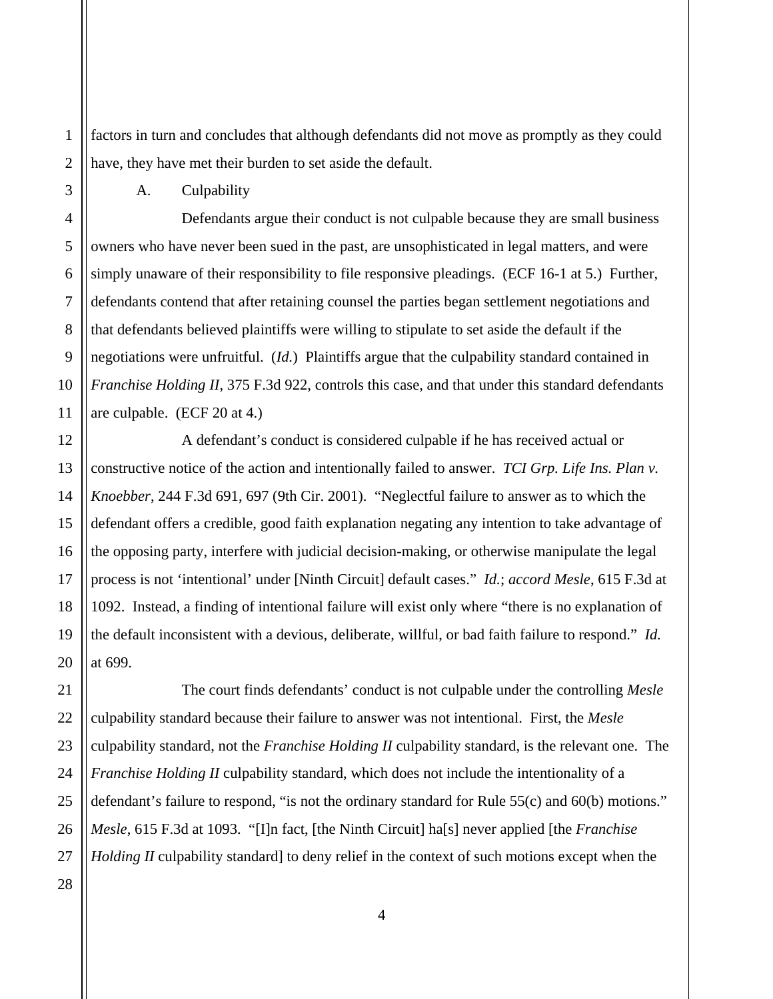1 2 factors in turn and concludes that although defendants did not move as promptly as they could have, they have met their burden to set aside the default.

A. Culpability

 Defendants argue their conduct is not culpable because they are small business owners who have never been sued in the past, are unsophisticated in legal matters, and were simply unaware of their responsibility to file responsive pleadings. (ECF 16-1 at 5.) Further, defendants contend that after retaining counsel the parties began settlement negotiations and that defendants believed plaintiffs were willing to stipulate to set aside the default if the negotiations were unfruitful. (*Id.*) Plaintiffs argue that the culpability standard contained in *Franchise Holding II*, 375 F.3d 922, controls this case, and that under this standard defendants are culpable. (ECF 20 at 4.)

 A defendant's conduct is considered culpable if he has received actual or constructive notice of the action and intentionally failed to answer. *TCI Grp. Life Ins. Plan v. Knoebber*, 244 F.3d 691, 697 (9th Cir. 2001). "Neglectful failure to answer as to which the defendant offers a credible, good faith explanation negating any intention to take advantage of the opposing party, interfere with judicial decision-making, or otherwise manipulate the legal process is not 'intentional' under [Ninth Circuit] default cases." *Id.*; *accord Mesle*, 615 F.3d at 1092. Instead, a finding of intentional failure will exist only where "there is no explanation of the default inconsistent with a devious, deliberate, willful, or bad faith failure to respond." *Id.* at 699.

 The court finds defendants' conduct is not culpable under the controlling *Mesle* culpability standard because their failure to answer was not intentional. First, the *Mesle*  culpability standard, not the *Franchise Holding II* culpability standard, is the relevant one. The *Franchise Holding II* culpability standard, which does not include the intentionality of a defendant's failure to respond, "is not the ordinary standard for Rule 55(c) and 60(b) motions." *Mesle*, 615 F.3d at 1093. "[I]n fact, [the Ninth Circuit] ha[s] never applied [the *Franchise Holding II* culpability standard] to deny relief in the context of such motions except when the

28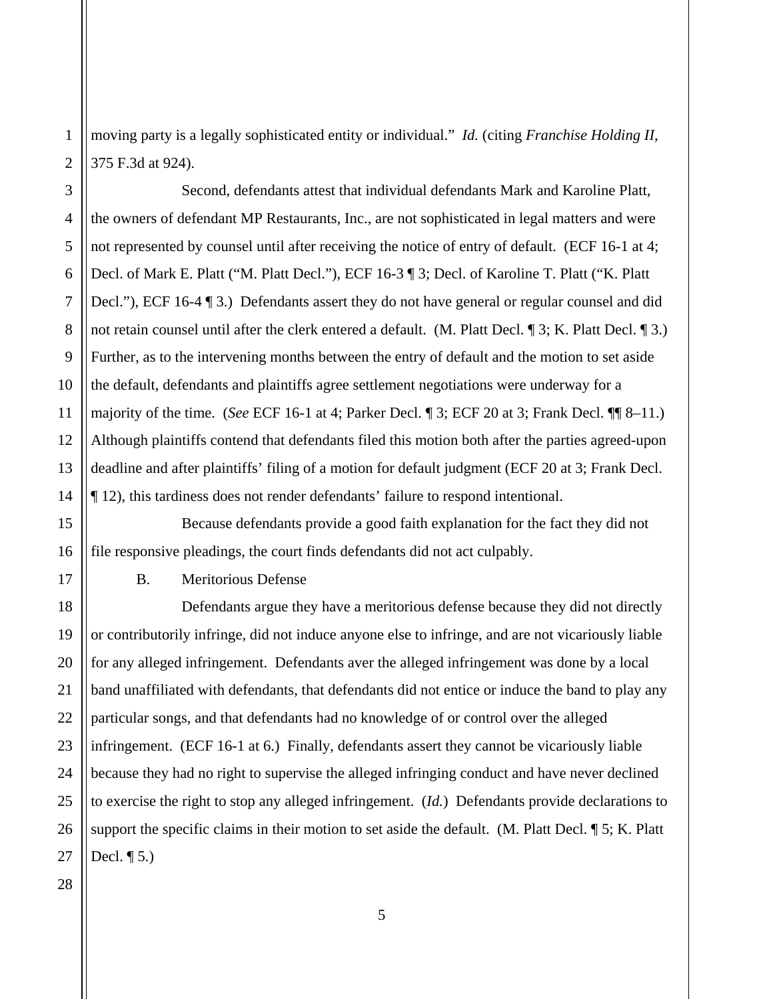1 2 moving party is a legally sophisticated entity or individual." *Id.* (citing *Franchise Holding II*, 375 F.3d at 924).

3 4 5 6 7 8 9 10 11 12 13 14 Second, defendants attest that individual defendants Mark and Karoline Platt, the owners of defendant MP Restaurants, Inc., are not sophisticated in legal matters and were not represented by counsel until after receiving the notice of entry of default. (ECF 16-1 at 4; Decl. of Mark E. Platt ("M. Platt Decl."), ECF 16-3 ¶ 3; Decl. of Karoline T. Platt ("K. Platt Decl."), ECF 16-4 ¶ 3.) Defendants assert they do not have general or regular counsel and did not retain counsel until after the clerk entered a default. (M. Platt Decl. ¶ 3; K. Platt Decl. ¶ 3.) Further, as to the intervening months between the entry of default and the motion to set aside the default, defendants and plaintiffs agree settlement negotiations were underway for a majority of the time. (*See* ECF 16-1 at 4; Parker Decl. ¶ 3; ECF 20 at 3; Frank Decl. ¶¶ 8–11.) Although plaintiffs contend that defendants filed this motion both after the parties agreed-upon deadline and after plaintiffs' filing of a motion for default judgment (ECF 20 at 3; Frank Decl. ¶ 12), this tardiness does not render defendants' failure to respond intentional.

16 Because defendants provide a good faith explanation for the fact they did not file responsive pleadings, the court finds defendants did not act culpably.

B. Meritorious Defense

 Defendants argue they have a meritorious defense because they did not directly or contributorily infringe, did not induce anyone else to infringe, and are not vicariously liable for any alleged infringement. Defendants aver the alleged infringement was done by a local band unaffiliated with defendants, that defendants did not entice or induce the band to play any particular songs, and that defendants had no knowledge of or control over the alleged infringement. (ECF 16-1 at 6.) Finally, defendants assert they cannot be vicariously liable because they had no right to supervise the alleged infringing conduct and have never declined to exercise the right to stop any alleged infringement. (*Id.*) Defendants provide declarations to support the specific claims in their motion to set aside the default. (M. Platt Decl. 15; K. Platt Decl.  $\P$  5.)

28

15

17

18

19

20

21

22

23

5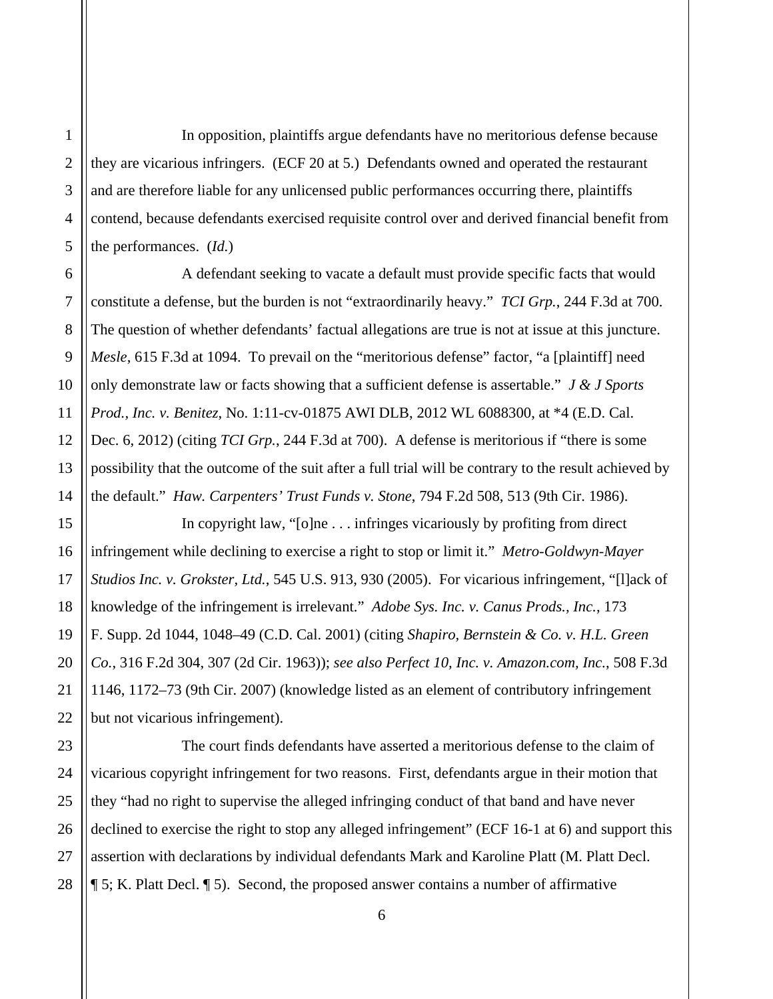In opposition, plaintiffs argue defendants have no meritorious defense because they are vicarious infringers. (ECF 20 at 5.) Defendants owned and operated the restaurant and are therefore liable for any unlicensed public performances occurring there, plaintiffs contend, because defendants exercised requisite control over and derived financial benefit from the performances. (*Id.*)

 A defendant seeking to vacate a default must provide specific facts that would constitute a defense, but the burden is not "extraordinarily heavy." *TCI Grp.*, 244 F.3d at 700. The question of whether defendants' factual allegations are true is not at issue at this juncture. *Mesle*, 615 F.3d at 1094. To prevail on the "meritorious defense" factor, "a [plaintiff] need only demonstrate law or facts showing that a sufficient defense is assertable." *J & J Sports Prod., Inc. v. Benitez*, No. 1:11-cv-01875 AWI DLB, 2012 WL 6088300, at \*4 (E.D. Cal. Dec. 6, 2012) (citing *TCI Grp.*, 244 F.3d at 700). A defense is meritorious if "there is some possibility that the outcome of the suit after a full trial will be contrary to the result achieved by the default." *Haw. Carpenters' Trust Funds v. Stone*, 794 F.2d 508, 513 (9th Cir. 1986).

 In copyright law, "[o]ne . . . infringes vicariously by profiting from direct infringement while declining to exercise a right to stop or limit it." *Metro-Goldwyn-Mayer Studios Inc. v. Grokster, Ltd.*, 545 U.S. 913, 930 (2005). For vicarious infringement, "[l]ack of knowledge of the infringement is irrelevant." *Adobe Sys. Inc. v. Canus Prods., Inc.*, 173 F. Supp. 2d 1044, 1048–49 (C.D. Cal. 2001) (citing *Shapiro, Bernstein & Co. v. H.L. Green Co.*, 316 F.2d 304, 307 (2d Cir. 1963)); *see also Perfect 10, Inc. v. Amazon.com, Inc.*, 508 F.3d 1146, 1172–73 (9th Cir. 2007) (knowledge listed as an element of contributory infringement but not vicarious infringement).

28 The court finds defendants have asserted a meritorious defense to the claim of vicarious copyright infringement for two reasons. First, defendants argue in their motion that they "had no right to supervise the alleged infringing conduct of that band and have never declined to exercise the right to stop any alleged infringement" (ECF 16-1 at 6) and support this assertion with declarations by individual defendants Mark and Karoline Platt (M. Platt Decl. ¶ 5; K. Platt Decl. ¶ 5). Second, the proposed answer contains a number of affirmative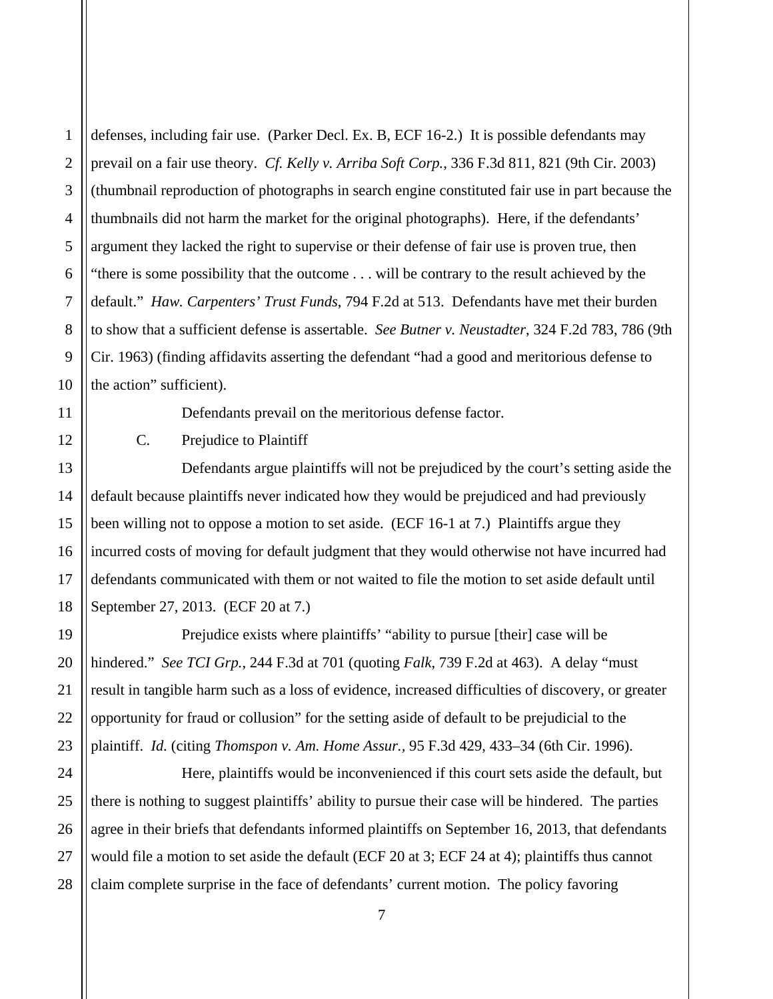1 defenses, including fair use. (Parker Decl. Ex. B, ECF 16-2.) It is possible defendants may prevail on a fair use theory. *Cf. Kelly v. Arriba Soft Corp.*, 336 F.3d 811, 821 (9th Cir. 2003) (thumbnail reproduction of photographs in search engine constituted fair use in part because the thumbnails did not harm the market for the original photographs). Here, if the defendants' argument they lacked the right to supervise or their defense of fair use is proven true, then "there is some possibility that the outcome . . . will be contrary to the result achieved by the default." *Haw. Carpenters' Trust Funds*, 794 F.2d at 513. Defendants have met their burden to show that a sufficient defense is assertable. *See Butner v. Neustadter*, 324 F.2d 783, 786 (9th Cir. 1963) (finding affidavits asserting the defendant "had a good and meritorious defense to the action" sufficient).

Defendants prevail on the meritorious defense factor.

C. Prejudice to Plaintiff

 Defendants argue plaintiffs will not be prejudiced by the court's setting aside the default because plaintiffs never indicated how they would be prejudiced and had previously been willing not to oppose a motion to set aside. (ECF 16-1 at 7.) Plaintiffs argue they incurred costs of moving for default judgment that they would otherwise not have incurred had defendants communicated with them or not waited to file the motion to set aside default until September 27, 2013. (ECF 20 at 7.)

 Prejudice exists where plaintiffs' "ability to pursue [their] case will be hindered." *See TCI Grp.*, 244 F.3d at 701 (quoting *Falk*, 739 F.2d at 463). A delay "must result in tangible harm such as a loss of evidence, increased difficulties of discovery, or greater opportunity for fraud or collusion" for the setting aside of default to be prejudicial to the plaintiff. *Id.* (citing *Thomspon v. Am. Home Assur.,* 95 F.3d 429, 433–34 (6th Cir. 1996).

 Here, plaintiffs would be inconvenienced if this court sets aside the default, but there is nothing to suggest plaintiffs' ability to pursue their case will be hindered. The parties agree in their briefs that defendants informed plaintiffs on September 16, 2013, that defendants would file a motion to set aside the default (ECF 20 at 3; ECF 24 at 4); plaintiffs thus cannot claim complete surprise in the face of defendants' current motion. The policy favoring